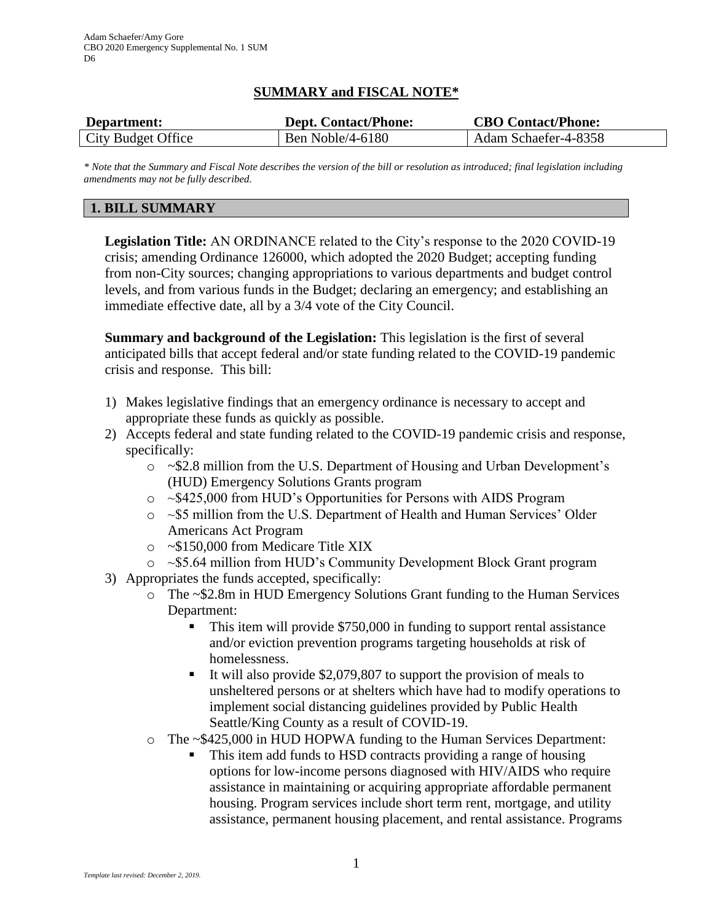### **SUMMARY and FISCAL NOTE\***

| Department:        | <b>Dept. Contact/Phone:</b> | <b>CBO Contact/Phone:</b> |
|--------------------|-----------------------------|---------------------------|
| City Budget Office | Ben Noble/4-6180            | Adam Schaefer-4-8358      |

*\* Note that the Summary and Fiscal Note describes the version of the bill or resolution as introduced; final legislation including amendments may not be fully described.*

### **1. BILL SUMMARY**

**Legislation Title:** AN ORDINANCE related to the City's response to the 2020 COVID-19 crisis; amending Ordinance 126000, which adopted the 2020 Budget; accepting funding from non-City sources; changing appropriations to various departments and budget control levels, and from various funds in the Budget; declaring an emergency; and establishing an immediate effective date, all by a 3/4 vote of the City Council.

**Summary and background of the Legislation:** This legislation is the first of several anticipated bills that accept federal and/or state funding related to the COVID-19 pandemic crisis and response. This bill:

- 1) Makes legislative findings that an emergency ordinance is necessary to accept and appropriate these funds as quickly as possible.
- 2) Accepts federal and state funding related to the COVID-19 pandemic crisis and response, specifically:
	- o ~\$2.8 million from the U.S. Department of Housing and Urban Development's (HUD) Emergency Solutions Grants program
	- o ~\$425,000 from HUD's Opportunities for Persons with AIDS Program
	- o ~\$5 million from the U.S. Department of Health and Human Services' Older Americans Act Program
	- o ~\$150,000 from Medicare Title XIX
	- o ~\$5.64 million from HUD's Community Development Block Grant program
- 3) Appropriates the funds accepted, specifically:
	- o The ~\$2.8m in HUD Emergency Solutions Grant funding to the Human Services Department:
		- This item will provide \$750,000 in funding to support rental assistance and/or eviction prevention programs targeting households at risk of homelessness.
		- It will also provide \$2,079,807 to support the provision of meals to unsheltered persons or at shelters which have had to modify operations to implement social distancing guidelines provided by Public Health Seattle/King County as a result of COVID-19.
	- o The ~\$425,000 in HUD HOPWA funding to the Human Services Department:
		- This item add funds to HSD contracts providing a range of housing options for low-income persons diagnosed with HIV/AIDS who require assistance in maintaining or acquiring appropriate affordable permanent housing. Program services include short term rent, mortgage, and utility assistance, permanent housing placement, and rental assistance. Programs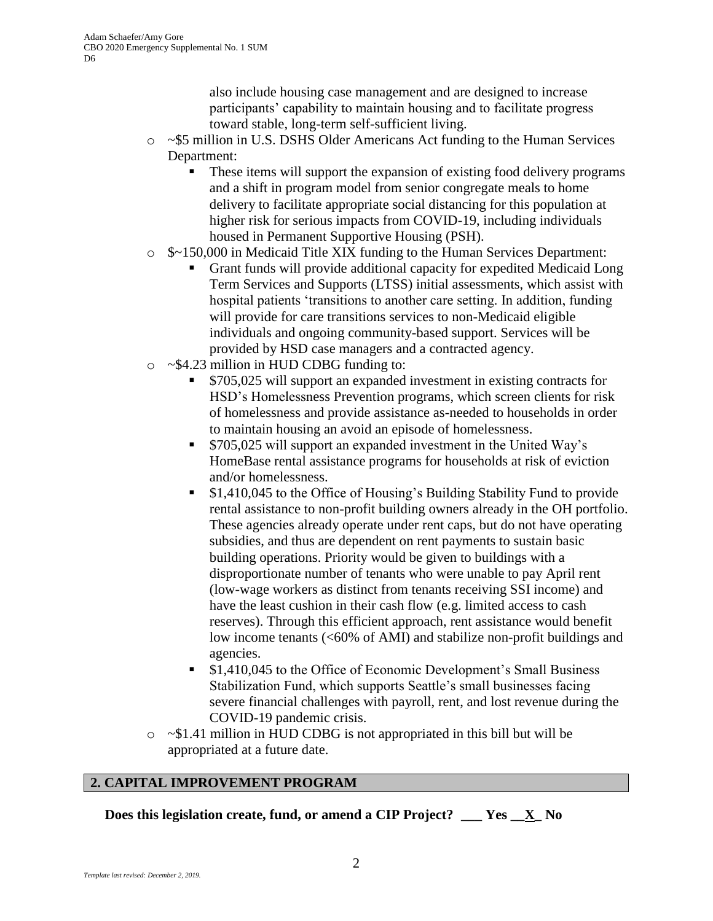also include housing case management and are designed to increase participants' capability to maintain housing and to facilitate progress toward stable, long-term self-sufficient living.

- o ~\$5 million in U.S. DSHS Older Americans Act funding to the Human Services Department:
	- These items will support the expansion of existing food delivery programs and a shift in program model from senior congregate meals to home delivery to facilitate appropriate social distancing for this population at higher risk for serious impacts from COVID-19, including individuals housed in Permanent Supportive Housing (PSH).
- o \$~150,000 in Medicaid Title XIX funding to the Human Services Department:
	- Grant funds will provide additional capacity for expedited Medicaid Long Term Services and Supports (LTSS) initial assessments, which assist with hospital patients 'transitions to another care setting. In addition, funding will provide for care transitions services to non-Medicaid eligible individuals and ongoing community-based support. Services will be provided by HSD case managers and a contracted agency.
- o ~\$4.23 million in HUD CDBG funding to:
	- \$705,025 will support an expanded investment in existing contracts for HSD's Homelessness Prevention programs, which screen clients for risk of homelessness and provide assistance as-needed to households in order to maintain housing an avoid an episode of homelessness.
	- **S705,025 will support an expanded investment in the United Way's** HomeBase rental assistance programs for households at risk of eviction and/or homelessness.
	- \$1,410,045 to the Office of Housing's Building Stability Fund to provide rental assistance to non-profit building owners already in the OH portfolio. These agencies already operate under rent caps, but do not have operating subsidies, and thus are dependent on rent payments to sustain basic building operations. Priority would be given to buildings with a disproportionate number of tenants who were unable to pay April rent (low-wage workers as distinct from tenants receiving SSI income) and have the least cushion in their cash flow (e.g. limited access to cash reserves). Through this efficient approach, rent assistance would benefit low income tenants (<60% of AMI) and stabilize non-profit buildings and agencies.
	- \$1,410,045 to the Office of Economic Development's Small Business Stabilization Fund, which supports Seattle's small businesses facing severe financial challenges with payroll, rent, and lost revenue during the COVID-19 pandemic crisis.
- o ~\$1.41 million in HUD CDBG is not appropriated in this bill but will be appropriated at a future date.

# **2. CAPITAL IMPROVEMENT PROGRAM**

**Does this legislation create, fund, or amend a CIP Project? \_\_\_ Yes \_\_X\_ No**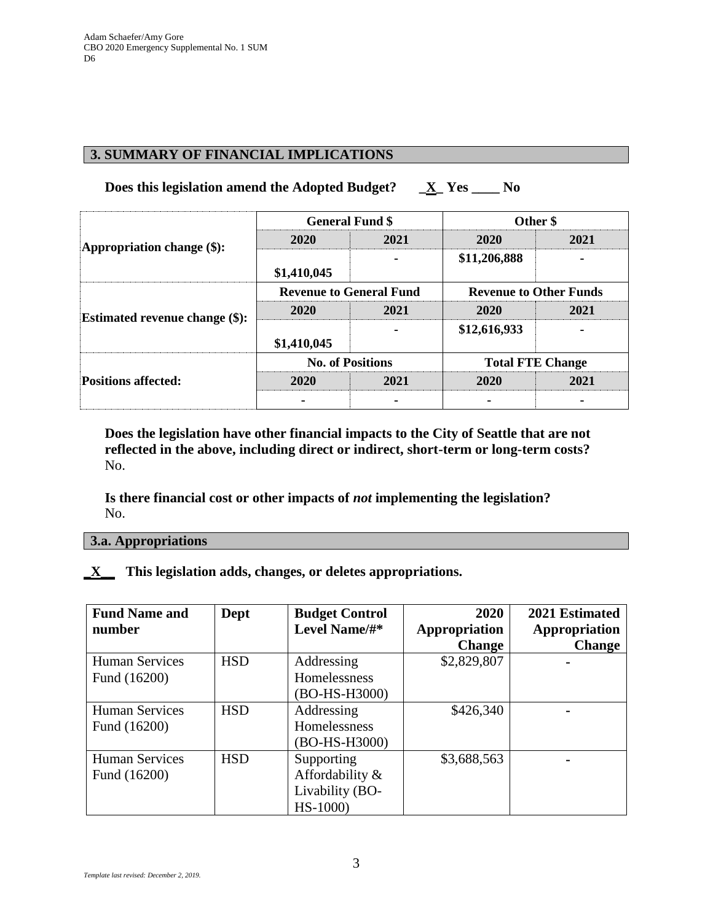## **3. SUMMARY OF FINANCIAL IMPLICATIONS**

## **Does this legislation amend the Adopted Budget? \_X\_ Yes \_\_\_\_ No**

| Appropriation change $(\$)$ :         | <b>General Fund \$</b>         |      | Other \$                      |      |
|---------------------------------------|--------------------------------|------|-------------------------------|------|
|                                       | 2020                           | 2021 | 2020                          | 2021 |
|                                       | \$1,410,045                    |      | \$11,206,888                  |      |
| <b>Estimated revenue change (\$):</b> | <b>Revenue to General Fund</b> |      | <b>Revenue to Other Funds</b> |      |
|                                       | 2020                           | 2021 | 2020                          | 2021 |
|                                       | \$1,410,045                    |      | \$12,616,933                  |      |
| <b>Positions affected:</b>            | <b>No. of Positions</b>        |      | <b>Total FTE Change</b>       |      |
|                                       | 2020                           | 2021 | 2020                          | 2021 |
|                                       |                                |      |                               |      |

**Does the legislation have other financial impacts to the City of Seattle that are not reflected in the above, including direct or indirect, short-term or long-term costs?** No.

**Is there financial cost or other impacts of** *not* **implementing the legislation?** No.

#### **3.a. Appropriations**

### **\_X\_\_ This legislation adds, changes, or deletes appropriations.**

| <b>Fund Name and</b><br>number        | Dept       | <b>Budget Control</b><br>Level Name/#*                        | 2020<br>Appropriation<br><b>Change</b> | 2021 Estimated<br>Appropriation<br><b>Change</b> |
|---------------------------------------|------------|---------------------------------------------------------------|----------------------------------------|--------------------------------------------------|
| <b>Human Services</b><br>Fund (16200) | <b>HSD</b> | Addressing<br>Homelessness<br>(BO-HS-H3000)                   | \$2,829,807                            |                                                  |
| <b>Human Services</b><br>Fund (16200) | <b>HSD</b> | Addressing<br>Homelessness<br>(BO-HS-H3000)                   | \$426,340                              |                                                  |
| <b>Human Services</b><br>Fund (16200) | <b>HSD</b> | Supporting<br>Affordability &<br>Livability (BO-<br>$HS-1000$ | \$3,688,563                            |                                                  |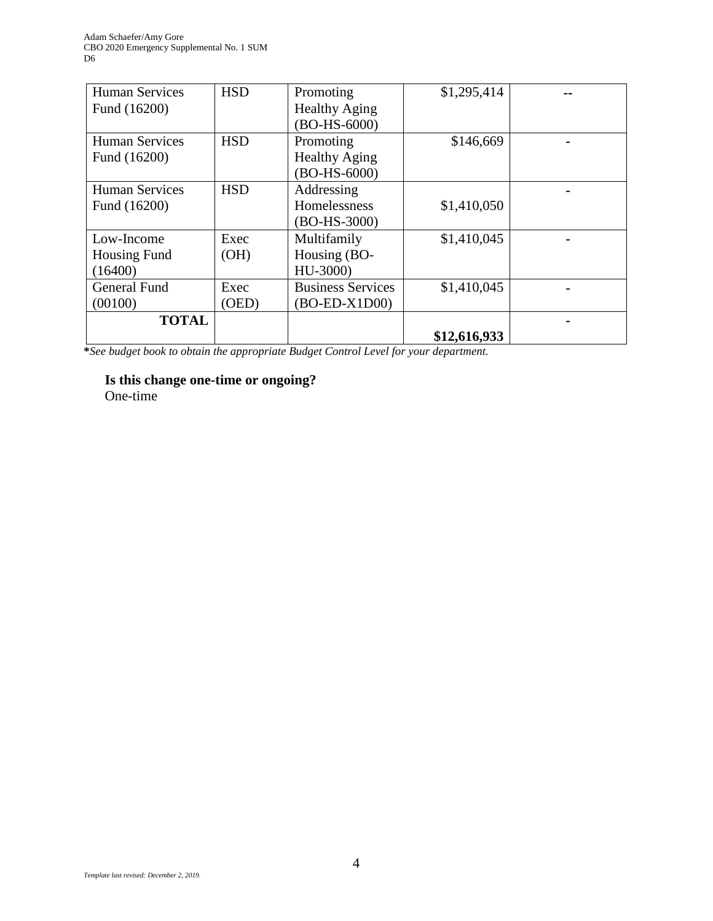| <b>Human Services</b> | <b>HSD</b> | Promoting                | \$1,295,414  |  |
|-----------------------|------------|--------------------------|--------------|--|
| Fund (16200)          |            | <b>Healthy Aging</b>     |              |  |
|                       |            | $(BO-HS-6000)$           |              |  |
| <b>Human Services</b> | <b>HSD</b> | Promoting                | \$146,669    |  |
| Fund (16200)          |            | <b>Healthy Aging</b>     |              |  |
|                       |            | $(BO-HS-6000)$           |              |  |
| <b>Human Services</b> | <b>HSD</b> | Addressing               |              |  |
| Fund (16200)          |            | Homelessness             | \$1,410,050  |  |
|                       |            | $(BO-HS-3000)$           |              |  |
| Low-Income            | Exec       | Multifamily              | \$1,410,045  |  |
| <b>Housing Fund</b>   | (OH)       | Housing (BO-             |              |  |
| (16400)               |            | HU-3000)                 |              |  |
| General Fund          | Exec       | <b>Business Services</b> | \$1,410,045  |  |
| (00100)               | (OED)      | $(BO-ED-X1D00)$          |              |  |
| <b>TOTAL</b>          |            |                          |              |  |
|                       |            |                          | \$12,616,933 |  |

**\****See budget book to obtain the appropriate Budget Control Level for your department.*

# **Is this change one-time or ongoing?**

One-time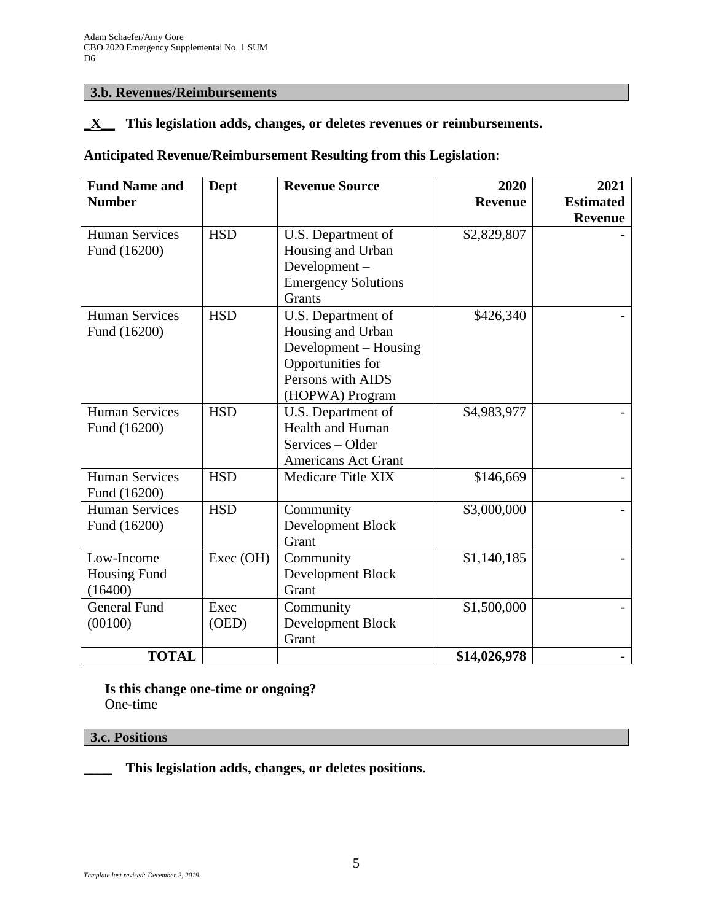### **3.b. Revenues/Reimbursements**

### **\_X\_\_ This legislation adds, changes, or deletes revenues or reimbursements.**

# **Anticipated Revenue/Reimbursement Resulting from this Legislation:**

| <b>Fund Name and</b><br><b>Number</b> | Dept          | <b>Revenue Source</b>                                                                                                         | 2020<br><b>Revenue</b> | 2021<br><b>Estimated</b><br><b>Revenue</b> |
|---------------------------------------|---------------|-------------------------------------------------------------------------------------------------------------------------------|------------------------|--------------------------------------------|
| <b>Human Services</b><br>Fund (16200) | <b>HSD</b>    | U.S. Department of<br>Housing and Urban<br>Development-<br><b>Emergency Solutions</b><br>Grants                               | \$2,829,807            |                                            |
| <b>Human Services</b><br>Fund (16200) | <b>HSD</b>    | U.S. Department of<br>Housing and Urban<br>Development – Housing<br>Opportunities for<br>Persons with AIDS<br>(HOPWA) Program | \$426,340              |                                            |
| <b>Human Services</b><br>Fund (16200) | <b>HSD</b>    | U.S. Department of<br>Health and Human<br>Services – Older<br><b>Americans Act Grant</b>                                      | \$4,983,977            |                                            |
| <b>Human Services</b><br>Fund (16200) | <b>HSD</b>    | Medicare Title XIX                                                                                                            | \$146,669              |                                            |
| <b>Human Services</b><br>Fund (16200) | <b>HSD</b>    | Community<br>Development Block<br>Grant                                                                                       | \$3,000,000            |                                            |
| Low-Income<br>Housing Fund<br>(16400) | Exec (OH)     | Community<br>Development Block<br>Grant                                                                                       | \$1,140,185            |                                            |
| <b>General Fund</b><br>(00100)        | Exec<br>(OED) | Community<br>Development Block<br>Grant                                                                                       | \$1,500,000            |                                            |
| <b>TOTAL</b>                          |               |                                                                                                                               | \$14,026,978           |                                            |

**Is this change one-time or ongoing?** One-time

### **3.c. Positions**

**\_\_\_\_ This legislation adds, changes, or deletes positions.**